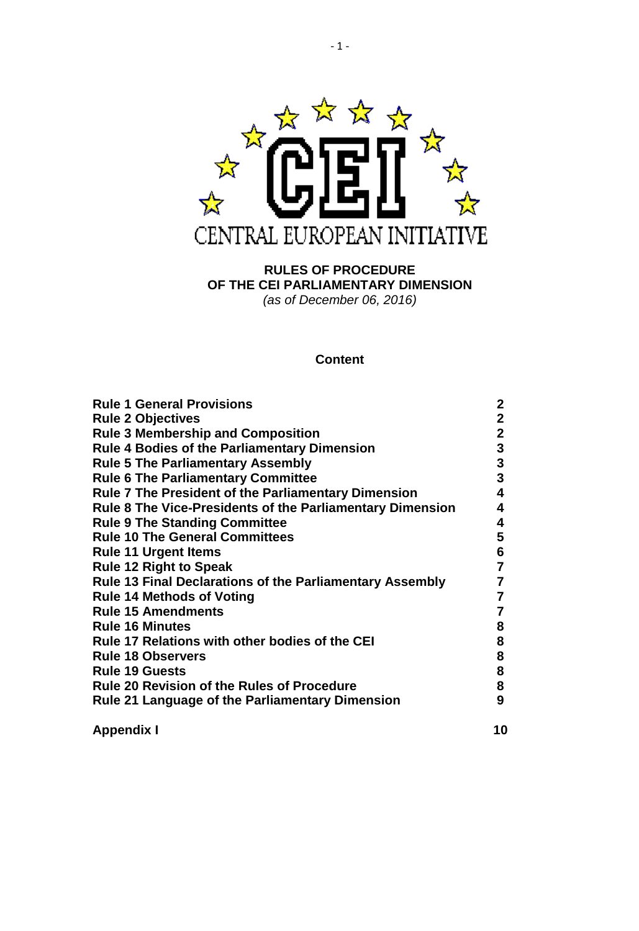

**RULES OF PROCEDURE OF THE CEI PARLIAMENTARY DIMENSION** *(as of December 06, 2016)*

# **Content**

| <b>Rule 1 General Provisions</b>                                 | 2            |
|------------------------------------------------------------------|--------------|
| <b>Rule 2 Objectives</b>                                         | $\mathbf{2}$ |
| <b>Rule 3 Membership and Composition</b>                         | $\mathbf 2$  |
| <b>Rule 4 Bodies of the Parliamentary Dimension</b>              | 3            |
| <b>Rule 5 The Parliamentary Assembly</b>                         | $\mathbf{3}$ |
| <b>Rule 6 The Parliamentary Committee</b>                        | 3            |
| <b>Rule 7 The President of the Parliamentary Dimension</b>       | 4            |
| <b>Rule 8 The Vice-Presidents of the Parliamentary Dimension</b> | 4            |
| <b>Rule 9 The Standing Committee</b>                             | 4            |
| <b>Rule 10 The General Committees</b>                            | 5            |
| <b>Rule 11 Urgent Items</b>                                      | 6            |
| <b>Rule 12 Right to Speak</b>                                    | 7            |
| Rule 13 Final Declarations of the Parliamentary Assembly         | 7            |
| <b>Rule 14 Methods of Voting</b>                                 | 7            |
| <b>Rule 15 Amendments</b>                                        | 7            |
| <b>Rule 16 Minutes</b>                                           | 8            |
| <b>Rule 17 Relations with other bodies of the CEI</b>            | 8            |
| <b>Rule 18 Observers</b>                                         | 8            |
| <b>Rule 19 Guests</b>                                            | 8            |
| <b>Rule 20 Revision of the Rules of Procedure</b>                | 8            |
| <b>Rule 21 Language of the Parliamentary Dimension</b>           | 9            |
| <b>Appendix I</b>                                                | 10           |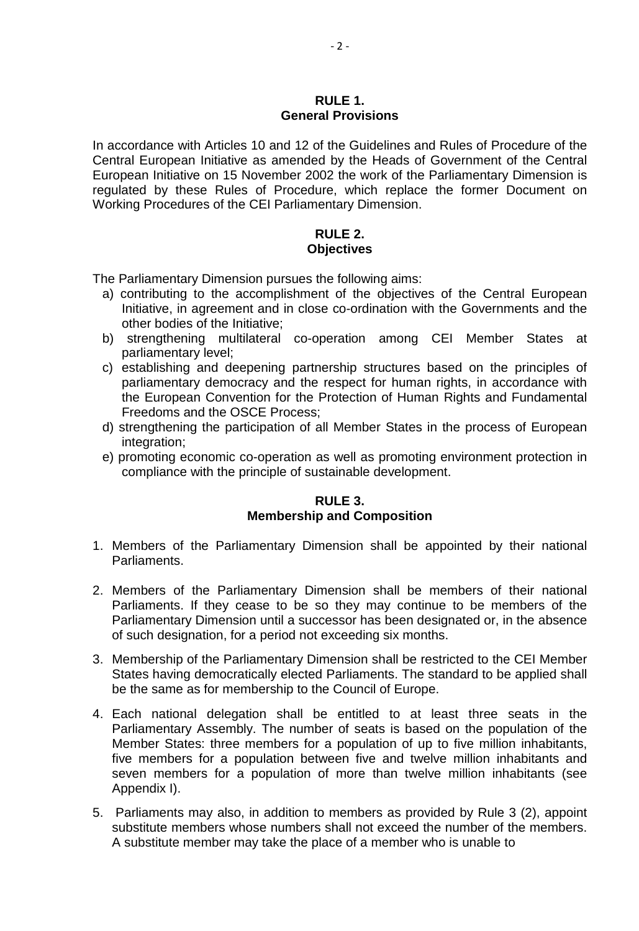#### **RULE 1. General Provisions**

In accordance with Articles 10 and 12 of the Guidelines and Rules of Procedure of the Central European Initiative as amended by the Heads of Government of the Central European Initiative on 15 November 2002 the work of the Parliamentary Dimension is regulated by these Rules of Procedure, which replace the former Document on Working Procedures of the CEI Parliamentary Dimension.

# **RULE 2. Objectives**

The Parliamentary Dimension pursues the following aims:

- a) contributing to the accomplishment of the objectives of the Central European Initiative, in agreement and in close co-ordination with the Governments and the other bodies of the Initiative;
- b) strengthening multilateral co-operation among CEI Member States at parliamentary level;
- c) establishing and deepening partnership structures based on the principles of parliamentary democracy and the respect for human rights, in accordance with the European Convention for the Protection of Human Rights and Fundamental Freedoms and the OSCE Process;
- d) strengthening the participation of all Member States in the process of European integration;
- e) promoting economic co-operation as well as promoting environment protection in compliance with the principle of sustainable development.

# **RULE 3. Membership and Composition**

- 1. Members of the Parliamentary Dimension shall be appointed by their national Parliaments.
- 2. Members of the Parliamentary Dimension shall be members of their national Parliaments. If they cease to be so they may continue to be members of the Parliamentary Dimension until a successor has been designated or, in the absence of such designation, for a period not exceeding six months.
- 3. Membership of the Parliamentary Dimension shall be restricted to the CEI Member States having democratically elected Parliaments. The standard to be applied shall be the same as for membership to the Council of Europe.
- 4. Each national delegation shall be entitled to at least three seats in the Parliamentary Assembly. The number of seats is based on the population of the Member States: three members for a population of up to five million inhabitants, five members for a population between five and twelve million inhabitants and seven members for a population of more than twelve million inhabitants (see Appendix I).
- 5. Parliaments may also, in addition to members as provided by Rule 3 (2), appoint substitute members whose numbers shall not exceed the number of the members. A substitute member may take the place of a member who is unable to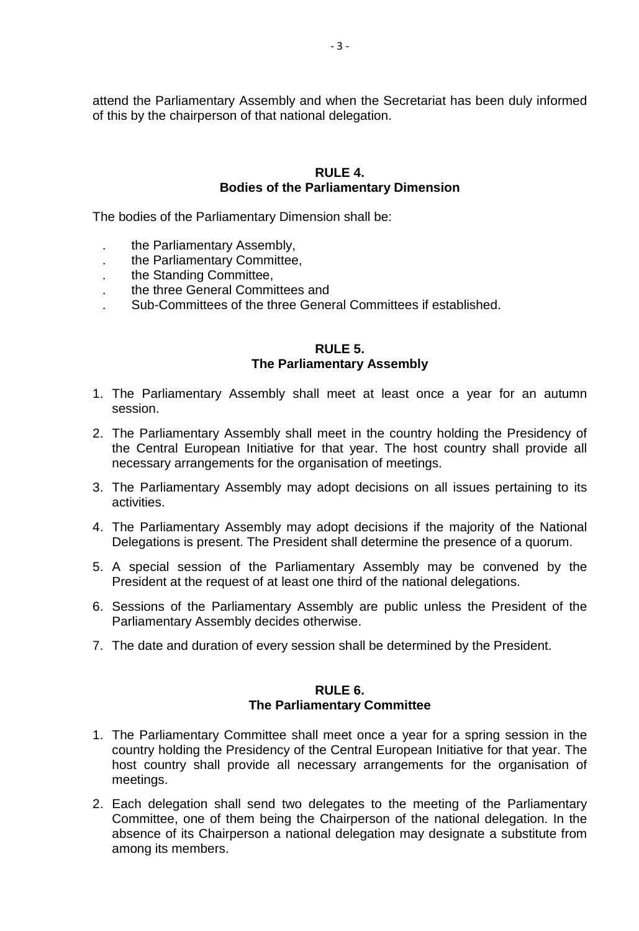attend the Parliamentary Assembly and when the Secretariat has been duly informed of this by the chairperson of that national delegation.

# **RULE 4. Bodies of the Parliamentary Dimension**

The bodies of the Parliamentary Dimension shall be:

- . the Parliamentary Assembly,
- . the Parliamentary Committee,
- . the Standing Committee,
- . the three General Committees and
- . Sub-Committees of the three General Committees if established.

### **RULE 5. The Parliamentary Assembly**

- 1. The Parliamentary Assembly shall meet at least once a year for an autumn session.
- 2. The Parliamentary Assembly shall meet in the country holding the Presidency of the Central European Initiative for that year. The host country shall provide all necessary arrangements for the organisation of meetings.
- 3. The Parliamentary Assembly may adopt decisions on all issues pertaining to its activities.
- 4. The Parliamentary Assembly may adopt decisions if the majority of the National Delegations is present. The President shall determine the presence of a quorum.
- 5. A special session of the Parliamentary Assembly may be convened by the President at the request of at least one third of the national delegations.
- 6. Sessions of the Parliamentary Assembly are public unless the President of the Parliamentary Assembly decides otherwise.
- 7. The date and duration of every session shall be determined by the President.

#### **RULE 6. The Parliamentary Committee**

- 1. The Parliamentary Committee shall meet once a year for a spring session in the country holding the Presidency of the Central European Initiative for that year. The host country shall provide all necessary arrangements for the organisation of meetings.
- 2. Each delegation shall send two delegates to the meeting of the Parliamentary Committee, one of them being the Chairperson of the national delegation. In the absence of its Chairperson a national delegation may designate a substitute from among its members.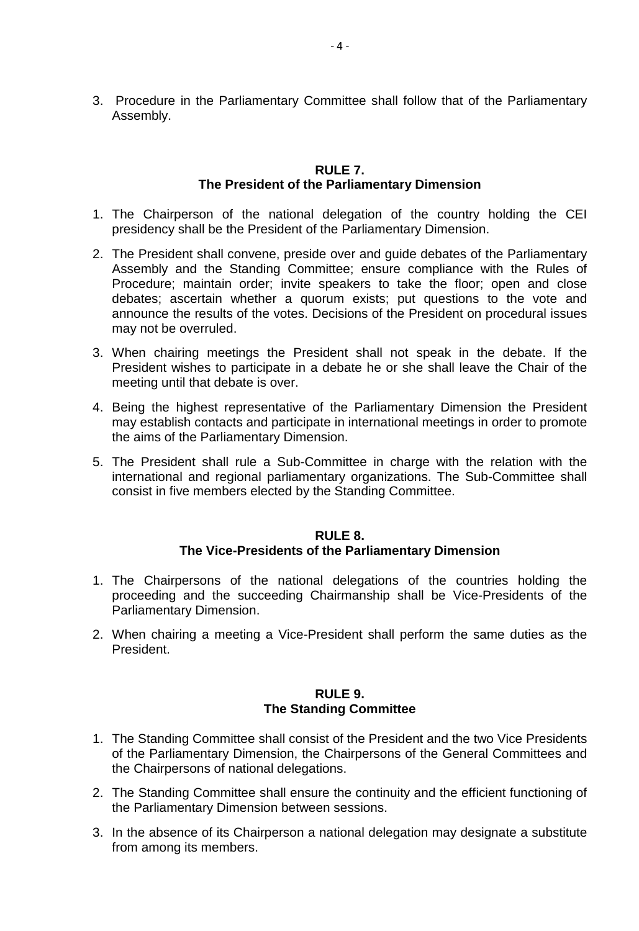3. Procedure in the Parliamentary Committee shall follow that of the Parliamentary Assembly.

# **RULE 7. The President of the Parliamentary Dimension**

- 1. The Chairperson of the national delegation of the country holding the CEI presidency shall be the President of the Parliamentary Dimension.
- 2. The President shall convene, preside over and guide debates of the Parliamentary Assembly and the Standing Committee; ensure compliance with the Rules of Procedure; maintain order; invite speakers to take the floor; open and close debates; ascertain whether a quorum exists; put questions to the vote and announce the results of the votes. Decisions of the President on procedural issues may not be overruled.
- 3. When chairing meetings the President shall not speak in the debate. If the President wishes to participate in a debate he or she shall leave the Chair of the meeting until that debate is over.
- 4. Being the highest representative of the Parliamentary Dimension the President may establish contacts and participate in international meetings in order to promote the aims of the Parliamentary Dimension.
- 5. The President shall rule a Sub-Committee in charge with the relation with the international and regional parliamentary organizations. The Sub-Committee shall consist in five members elected by the Standing Committee.

### **RULE 8. The Vice-Presidents of the Parliamentary Dimension**

- 1. The Chairpersons of the national delegations of the countries holding the proceeding and the succeeding Chairmanship shall be Vice-Presidents of the Parliamentary Dimension.
- 2. When chairing a meeting a Vice-President shall perform the same duties as the President.

# **RULE 9. The Standing Committee**

- 1. The Standing Committee shall consist of the President and the two Vice Presidents of the Parliamentary Dimension, the Chairpersons of the General Committees and the Chairpersons of national delegations.
- 2. The Standing Committee shall ensure the continuity and the efficient functioning of the Parliamentary Dimension between sessions.
- 3. In the absence of its Chairperson a national delegation may designate a substitute from among its members.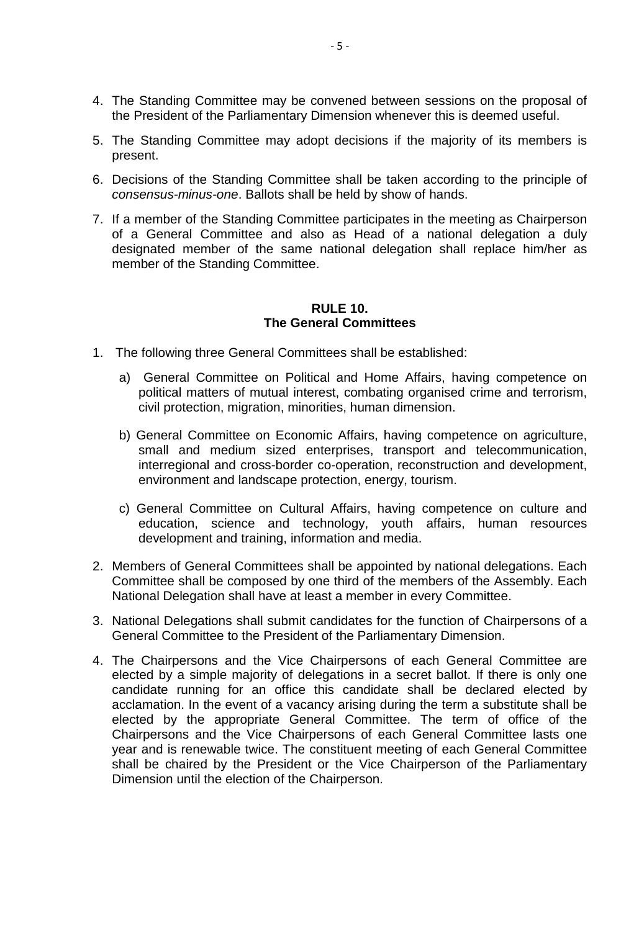- 4. The Standing Committee may be convened between sessions on the proposal of the President of the Parliamentary Dimension whenever this is deemed useful.
- 5. The Standing Committee may adopt decisions if the majority of its members is present.
- 6. Decisions of the Standing Committee shall be taken according to the principle of *consensus-minus-one*. Ballots shall be held by show of hands.
- 7. If a member of the Standing Committee participates in the meeting as Chairperson of a General Committee and also as Head of a national delegation a duly designated member of the same national delegation shall replace him/her as member of the Standing Committee.

# **RULE 10. The General Committees**

- 1. The following three General Committees shall be established:
	- a) General Committee on Political and Home Affairs, having competence on political matters of mutual interest, combating organised crime and terrorism, civil protection, migration, minorities, human dimension.
	- b) General Committee on Economic Affairs, having competence on agriculture, small and medium sized enterprises, transport and telecommunication, interregional and cross-border co-operation, reconstruction and development, environment and landscape protection, energy, tourism.
	- c) General Committee on Cultural Affairs, having competence on culture and education, science and technology, youth affairs, human resources development and training, information and media.
- 2. Members of General Committees shall be appointed by national delegations. Each Committee shall be composed by one third of the members of the Assembly. Each National Delegation shall have at least a member in every Committee.
- 3. National Delegations shall submit candidates for the function of Chairpersons of a General Committee to the President of the Parliamentary Dimension.
- 4. The Chairpersons and the Vice Chairpersons of each General Committee are elected by a simple majority of delegations in a secret ballot. If there is only one candidate running for an office this candidate shall be declared elected by acclamation. In the event of a vacancy arising during the term a substitute shall be elected by the appropriate General Committee. The term of office of the Chairpersons and the Vice Chairpersons of each General Committee lasts one year and is renewable twice. The constituent meeting of each General Committee shall be chaired by the President or the Vice Chairperson of the Parliamentary Dimension until the election of the Chairperson.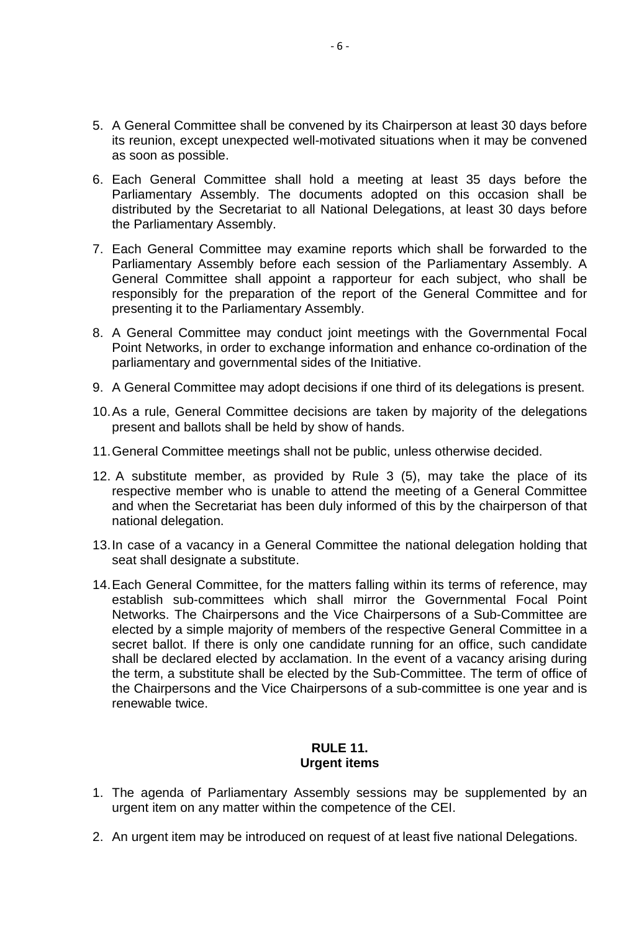- 5. A General Committee shall be convened by its Chairperson at least 30 days before its reunion, except unexpected well-motivated situations when it may be convened as soon as possible.
- 6. Each General Committee shall hold a meeting at least 35 days before the Parliamentary Assembly. The documents adopted on this occasion shall be distributed by the Secretariat to all National Delegations, at least 30 days before the Parliamentary Assembly.
- 7. Each General Committee may examine reports which shall be forwarded to the Parliamentary Assembly before each session of the Parliamentary Assembly. A General Committee shall appoint a rapporteur for each subject, who shall be responsibly for the preparation of the report of the General Committee and for presenting it to the Parliamentary Assembly.
- 8. A General Committee may conduct joint meetings with the Governmental Focal Point Networks, in order to exchange information and enhance co-ordination of the parliamentary and governmental sides of the Initiative.
- 9. A General Committee may adopt decisions if one third of its delegations is present.
- 10.As a rule, General Committee decisions are taken by majority of the delegations present and ballots shall be held by show of hands.
- 11.General Committee meetings shall not be public, unless otherwise decided.
- 12. A substitute member, as provided by Rule 3 (5), may take the place of its respective member who is unable to attend the meeting of a General Committee and when the Secretariat has been duly informed of this by the chairperson of that national delegation.
- 13.In case of a vacancy in a General Committee the national delegation holding that seat shall designate a substitute.
- 14.Each General Committee, for the matters falling within its terms of reference, may establish sub-committees which shall mirror the Governmental Focal Point Networks. The Chairpersons and the Vice Chairpersons of a Sub-Committee are elected by a simple majority of members of the respective General Committee in a secret ballot. If there is only one candidate running for an office, such candidate shall be declared elected by acclamation. In the event of a vacancy arising during the term, a substitute shall be elected by the Sub-Committee. The term of office of the Chairpersons and the Vice Chairpersons of a sub-committee is one year and is renewable twice.

# **RULE 11. Urgent items**

- 1. The agenda of Parliamentary Assembly sessions may be supplemented by an urgent item on any matter within the competence of the CEI.
- 2. An urgent item may be introduced on request of at least five national Delegations.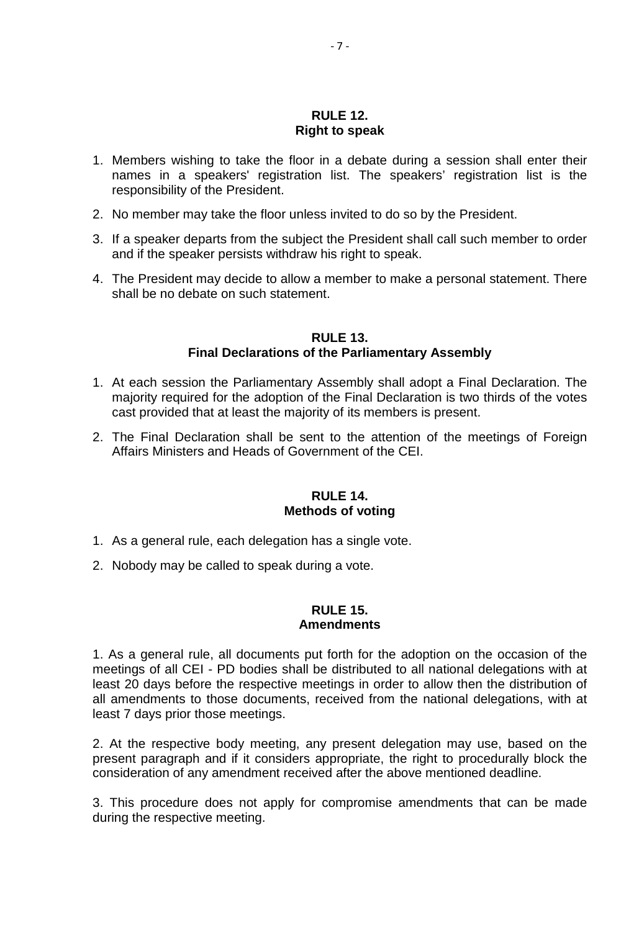### **RULE 12. Right to speak**

- 1. Members wishing to take the floor in a debate during a session shall enter their names in a speakers' registration list. The speakers' registration list is the responsibility of the President.
- 2. No member may take the floor unless invited to do so by the President.
- 3. If a speaker departs from the subject the President shall call such member to order and if the speaker persists withdraw his right to speak.
- 4. The President may decide to allow a member to make a personal statement. There shall be no debate on such statement.

### **RULE 13. Final Declarations of the Parliamentary Assembly**

- 1. At each session the Parliamentary Assembly shall adopt a Final Declaration. The majority required for the adoption of the Final Declaration is two thirds of the votes cast provided that at least the majority of its members is present.
- 2. The Final Declaration shall be sent to the attention of the meetings of Foreign Affairs Ministers and Heads of Government of the CEI.

### **RULE 14. Methods of voting**

- 1. As a general rule, each delegation has a single vote.
- 2. Nobody may be called to speak during a vote.

# **RULE 15.**

#### **Amendments**

1. As a general rule, all documents put forth for the adoption on the occasion of the meetings of all CEI - PD bodies shall be distributed to all national delegations with at least 20 days before the respective meetings in order to allow then the distribution of all amendments to those documents, received from the national delegations, with at least 7 days prior those meetings.

2. At the respective body meeting, any present delegation may use, based on the present paragraph and if it considers appropriate, the right to procedurally block the consideration of any amendment received after the above mentioned deadline.

3. This procedure does not apply for compromise amendments that can be made during the respective meeting.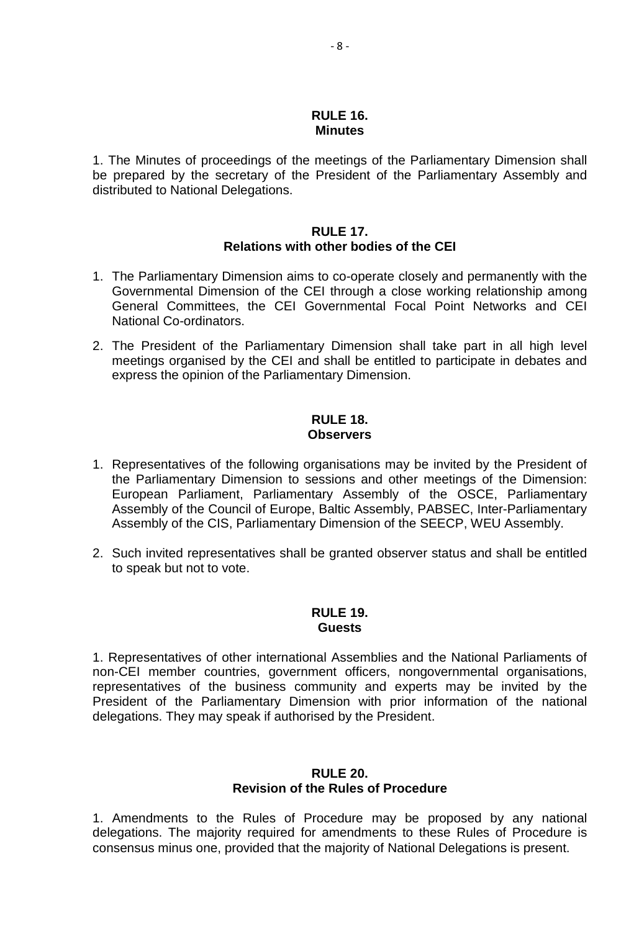#### **RULE 16. Minutes**

1. The Minutes of proceedings of the meetings of the Parliamentary Dimension shall be prepared by the secretary of the President of the Parliamentary Assembly and distributed to National Delegations.

# **RULE 17. Relations with other bodies of the CEI**

- 1. The Parliamentary Dimension aims to co-operate closely and permanently with the Governmental Dimension of the CEI through a close working relationship among General Committees, the CEI Governmental Focal Point Networks and CEI National Co-ordinators.
- 2. The President of the Parliamentary Dimension shall take part in all high level meetings organised by the CEI and shall be entitled to participate in debates and express the opinion of the Parliamentary Dimension.

# **RULE 18. Observers**

- 1. Representatives of the following organisations may be invited by the President of the Parliamentary Dimension to sessions and other meetings of the Dimension: European Parliament, Parliamentary Assembly of the OSCE, Parliamentary Assembly of the Council of Europe, Baltic Assembly, PABSEC, Inter-Parliamentary Assembly of the CIS, Parliamentary Dimension of the SEECP, WEU Assembly.
- 2. Such invited representatives shall be granted observer status and shall be entitled to speak but not to vote.

#### **RULE 19. Guests**

1. Representatives of other international Assemblies and the National Parliaments of non-CEI member countries, government officers, nongovernmental organisations, representatives of the business community and experts may be invited by the President of the Parliamentary Dimension with prior information of the national delegations. They may speak if authorised by the President.

# **RULE 20. Revision of the Rules of Procedure**

1. Amendments to the Rules of Procedure may be proposed by any national delegations. The majority required for amendments to these Rules of Procedure is consensus minus one, provided that the majority of National Delegations is present.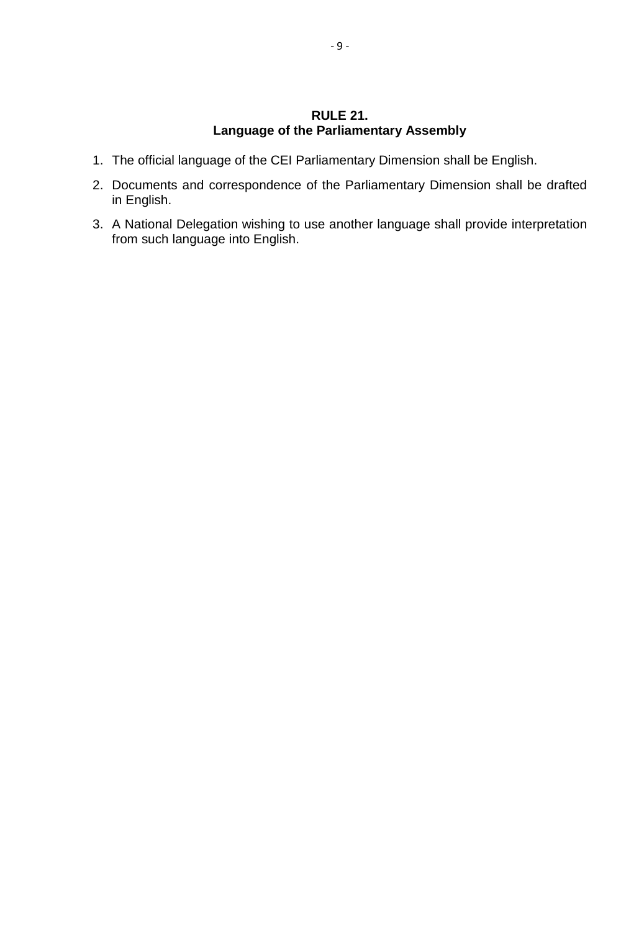# **RULE 21. Language of the Parliamentary Assembly**

- 1. The official language of the CEI Parliamentary Dimension shall be English.
- 2. Documents and correspondence of the Parliamentary Dimension shall be drafted in English.
- 3. A National Delegation wishing to use another language shall provide interpretation from such language into English.